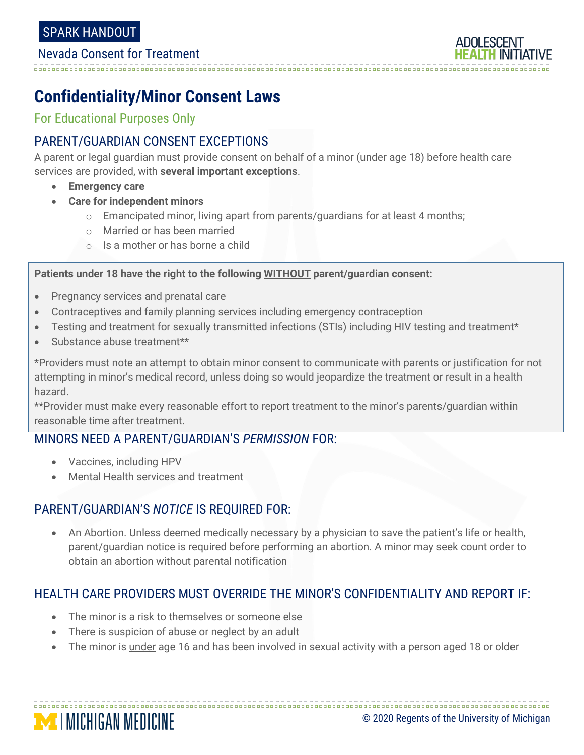#### Nevada Consent for Treatment

# **Confidentiality/Minor Consent Laws**

For Educational Purposes Only

### PARENT/GUARDIAN CONSENT EXCEPTIONS

A parent or legal guardian must provide consent on behalf of a minor (under age 18) before health care services are provided, with **several important exceptions**.

- **Emergency care**
- **Care for independent minors**
	- $\circ$  Emancipated minor, living apart from parents/guardians for at least 4 months;
	- o Married or has been married
	- o Is a mother or has borne a child

#### **Patients under 18 have the right to the following WITHOUT parent/guardian consent:**

- Pregnancy services and prenatal care
- Contraceptives and family planning services including emergency contraception
- Testing and treatment for sexually transmitted infections (STIs) including HIV testing and treatment\*
- Substance abuse treatment\*\*

\*Providers must note an attempt to obtain minor consent to communicate with parents or justification for not attempting in minor's medical record, unless doing so would jeopardize the treatment or result in a health hazard.

\*\*Provider must make every reasonable effort to report treatment to the minor's parents/guardian within reasonable time after treatment.

#### MINORS NEED A PARENT/GUARDIAN'S *PERMISSION* FOR:

- Vaccines, including HPV
- Mental Health services and treatment

#### PARENT/GUARDIAN'S *NOTICE* IS REQUIRED FOR:

• An Abortion. Unless deemed medically necessary by a physician to save the patient's life or health, parent/guardian notice is required before performing an abortion. A minor may seek count order to obtain an abortion without parental notification

## HEALTH CARE PROVIDERS MUST OVERRIDE THE MINOR'S CONFIDENTIALITY AND REPORT IF:

- The minor is a risk to themselves or someone else
- There is suspicion of abuse or neglect by an adult
- The minor is under age 16 and has been involved in sexual activity with a person aged 18 or older